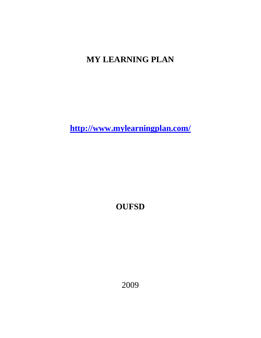# **MY LEARNING PLAN**

**<http://www.mylearningplan.com/>**

**OUFSD** 

2009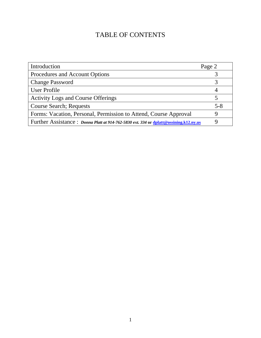# TABLE OF CONTENTS

| Introduction                                                                                 | Page 2  |
|----------------------------------------------------------------------------------------------|---------|
| Procedures and Account Options                                                               |         |
| <b>Change Password</b>                                                                       |         |
| User Profile                                                                                 |         |
| <b>Activity Logs and Course Offerings</b>                                                    |         |
| <b>Course Search; Requests</b>                                                               | $5 - 8$ |
| Forms: Vacation, Personal, Permission to Attend, Course Approval                             | Q       |
| Further Assistance: <i>Donna Platt at 914-762-5830 ext.</i> 334 or dplatt@ossining.k12.ny.us |         |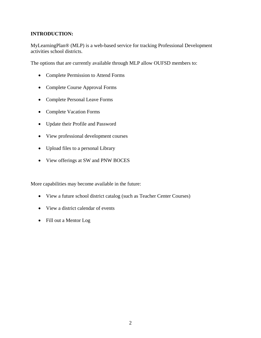## **INTRODUCTION:**

MyLearningPlan® (MLP) is a web-based service for tracking Professional Development activities school districts.

The options that are currently available through MLP allow OUFSD members to:

- Complete Permission to Attend Forms
- Complete Course Approval Forms
- Complete Personal Leave Forms
- Complete Vacation Forms
- Update their Profile and Password
- View professional development courses
- Upload files to a personal Library
- View offerings at SW and PNW BOCES

More capabilities may become available in the future:

- View a future school district catalog (such as Teacher Center Courses)
- View a district calendar of events
- Fill out a Mentor Log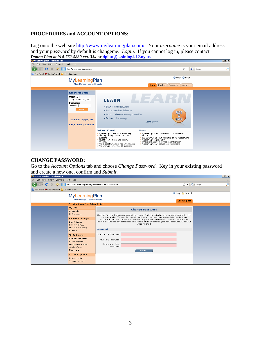#### **PROCEDURES and ACCOUNT OPTIONS:**

Log onto the web site [http://www.mylearningplan.com/.](http://www.mylearningplan.com/) Your *username* is your email address and your *password* by default is changeme. *Login*. If you cannot log in, please contact



#### **CHANGE PASSWORD:**

Go to the *Account Options* tab and choose *Change Password*. Key in your existing password and create a new one, confirm and *Submit*.

 $\overline{\mathbf{r}}$ 

| oriy Learning Fian - riozina i li erox                                                                                                                                  |                                                                                                                                                                                                                                                                                                                                                                                                                                                                   | مرسط                                          |
|-------------------------------------------------------------------------------------------------------------------------------------------------------------------------|-------------------------------------------------------------------------------------------------------------------------------------------------------------------------------------------------------------------------------------------------------------------------------------------------------------------------------------------------------------------------------------------------------------------------------------------------------------------|-----------------------------------------------|
| Eile<br>Edit<br>History Bookmarks Tools Help<br>View                                                                                                                    |                                                                                                                                                                                                                                                                                                                                                                                                                                                                   |                                               |
| c                                                                                                                                                                       | https://www.mylearningplan.com/Forms.asp?F=10004&I=446542&M=E                                                                                                                                                                                                                                                                                                                                                                                                     | ☆ · G· Google<br>₽                            |
| Most Visited So Getting Started<br>Latest Headlines                                                                                                                     |                                                                                                                                                                                                                                                                                                                                                                                                                                                                   |                                               |
| <b>MyLearningPlan</b><br>Plan » Manage » Learn » Evaluate                                                                                                               |                                                                                                                                                                                                                                                                                                                                                                                                                                                                   | <b>O</b> Help <b>a</b> Logout<br>LearningPlan |
| <b>Ossining Union Free School District</b>                                                                                                                              |                                                                                                                                                                                                                                                                                                                                                                                                                                                                   |                                               |
| My Info:<br>My Portfolio<br>My File Library<br><b>Activity Catalogs:</b><br>District Catalog<br>LHRIC/SWBOCES<br>PNW BOCES Catalog<br>Calendar<br><b>Fill-In Forms:</b> | <b>Change Password</b><br>Use this form to change your current password. Begin by entering your current password in the<br>section labeled "Current Password". Next enter the password you wish to use in "New<br>Password" and then retype it for verification purposes in the section labeled "Retype New<br>Password". Choose any combinations of letters and numbers for your new password. Click SAVE<br>when finished.<br>Password<br>Your Current Password |                                               |
| Permission to Attend<br>Course Approval<br>Personal Leave Form<br>Vacation Form<br>Mentor Log<br><b>Account Options:</b><br>My User Profile<br>Change Password          | Your New Password<br>Retype Your New<br>Password<br><b>SUBMIT</b>                                                                                                                                                                                                                                                                                                                                                                                                 |                                               |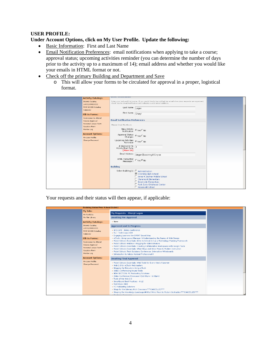## **USER PROFILE:**

#### **Under Account Options, click on My User Profile. Update the following:**

- Basic Information: First and Last Name
- Email Notification Preferences: email notifications when applying to take a course; approval status; upcoming activities reminder (you can determine the number of days prior to the activity up to a maximum of 14); email address and whether you would like your emails in HTML format or not.
- Check off the primary Building and Department and Save
	- o This will allow your forms to be circulated for approval in a proper, logistical format.

| <b>Activity Catalogs:</b>                                                                     |                                                                                                                                                                                                                                                                      |
|-----------------------------------------------------------------------------------------------|----------------------------------------------------------------------------------------------------------------------------------------------------------------------------------------------------------------------------------------------------------------------|
| <b>District Catalog</b><br>LHRIC/SWBOCES<br>PNW BOCES Catalog<br>Calendar                     | Enter your last and first name. If you would like to be notified via email when your requests are approved,<br>check Yes to Email Notification and indicate a valid email address.<br>Last Name Lagan                                                                |
| <b>Fill-In Forms:</b>                                                                         | First Name Cheryl                                                                                                                                                                                                                                                    |
| Permission to Attend<br>Course Approval<br>Personal Leave Form<br>Vacation Form<br>Mentor Log | <b>Email Notification Preferences</b><br>Please Email Me About:<br>New Activity<br>Notification C Yes C No                                                                                                                                                           |
| <b>Account Options:</b><br>My User Profile<br>Change Password                                 | Approval Status G Yes C No<br>Changes G Yes C No<br>Upcoming Activities $\circ$ Yes $\circ$ No<br>Reminder<br># days prior to $\sqrt{3}$<br>ActivityStart Date<br>$(Max=14)$<br>Email Address<br>clagan@ossining.k12.ny.us<br>HTML Formatted<br>Message ? O Yes @ No |
|                                                                                               | <b>Building</b><br>Select Building(s) □ Administration<br><b>■</b> Ossining High School<br>E Anne M. Dorner Middle School<br>□ Claremont Elementary<br>□ Brookside Elementary<br>F Park Early Childhood Center<br>□ Roosevelt School                                 |

Your requests and their status will then appear, if applicable:

| <b>Ossining Union Free School District</b>                                                    |                                                                                                                                                                                                                                                                                                                                                                                                                                      |  |  |  |  |  |
|-----------------------------------------------------------------------------------------------|--------------------------------------------------------------------------------------------------------------------------------------------------------------------------------------------------------------------------------------------------------------------------------------------------------------------------------------------------------------------------------------------------------------------------------------|--|--|--|--|--|
| My Info:<br>My Portfolio                                                                      | My Requests - Cheryl Lagan                                                                                                                                                                                                                                                                                                                                                                                                           |  |  |  |  |  |
| My File Library                                                                               | <b>Awaiting Pre-Approval</b>                                                                                                                                                                                                                                                                                                                                                                                                         |  |  |  |  |  |
| <b>Activity Catalogs:</b>                                                                     | » None                                                                                                                                                                                                                                                                                                                                                                                                                               |  |  |  |  |  |
| District Catalog<br>LHRIC/SWBOCES<br>PNW BOCES Catalog                                        | <b>Approved and In Progress</b><br>» NYSCATE - Metro Conference                                                                                                                                                                                                                                                                                                                                                                      |  |  |  |  |  |
| Calendar<br><b>Fill-In Forms:</b>                                                             | » TLI - Tech Expo 2009<br>» Engaging Learners the SMART Board Way<br>» eChalk: Using Layout Manager & Understanding the Basics of Web Design                                                                                                                                                                                                                                                                                         |  |  |  |  |  |
| Permission to Attend<br>Course Approval<br>Personal Leave Form<br>Vacation Form<br>Mentor Log | » Model Schools Essentials: Intro to School 2.0 as a Technology Planning Framework<br>» Model Schools Webinar: Blogging for Administrators<br>» Model Schools Essentials: Creating Collaborative Workspaces with Google Tools<br>» Model Schools Essentials: What Blogs and Wikis Mean to Modern Instruction<br>» Model Schools Tech Solutions Conference: Interactive Whiteboards<br>» Introduction to Adobe Acrobat Professional 8 |  |  |  |  |  |
| <b>Account Options:</b>                                                                       | <b>Awaiting Final Approval</b>                                                                                                                                                                                                                                                                                                                                                                                                       |  |  |  |  |  |
| My User Profile<br>Change Password                                                            | » Model Schools Essentials: Web Tools for Every Kind of Learner<br>» Web 2.0 for eChalk Webmasters<br>» Blogging for Educators Using eChalk<br>» Video Conferencing Round Table<br>» NEW SECTION: PC Podcasting Solutions                                                                                                                                                                                                            |  |  |  |  |  |
|                                                                                               | » Video Conference Showcase I (12:00pm - 1:00pm)<br>» Tools of the Web 2.0<br>> Smartboard Best Practices - 6-12<br>» Tech Expo 2008                                                                                                                                                                                                                                                                                                 |  |  |  |  |  |
|                                                                                               | » PC Podcasting Solutions                                                                                                                                                                                                                                                                                                                                                                                                            |  |  |  |  |  |
|                                                                                               | » Blogs for the Literacy Rich Classroom***CANCELLED***<br>» Shaping the Knowledge Landscape $\oplus$ What Wikis Mean to Modern Instruction***CANCELLED***                                                                                                                                                                                                                                                                            |  |  |  |  |  |
|                                                                                               |                                                                                                                                                                                                                                                                                                                                                                                                                                      |  |  |  |  |  |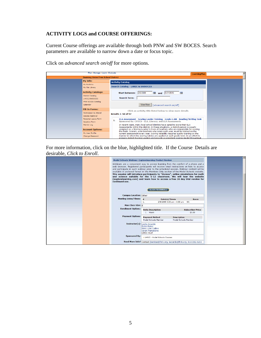# **ACTIVITY LOGS and COURSE OFFERINGS:**

Current Course offerings are available through both PNW and SW BOCES. Search parameters are available to narrow down a date or focus topic.

Click on *advanced search on/off* for more options.

| Plan » Manage » Learn » Evaluate                                                                                                                                                               |                                                                                                                                                                                                                                                                                                                                                                                                                                                                                                                                                                                                                                                                                                                                                                                                                                                    | <b>LearningPlan</b> |  |
|------------------------------------------------------------------------------------------------------------------------------------------------------------------------------------------------|----------------------------------------------------------------------------------------------------------------------------------------------------------------------------------------------------------------------------------------------------------------------------------------------------------------------------------------------------------------------------------------------------------------------------------------------------------------------------------------------------------------------------------------------------------------------------------------------------------------------------------------------------------------------------------------------------------------------------------------------------------------------------------------------------------------------------------------------------|---------------------|--|
| <b>Ossining Union Free School District</b>                                                                                                                                                     |                                                                                                                                                                                                                                                                                                                                                                                                                                                                                                                                                                                                                                                                                                                                                                                                                                                    |                     |  |
| My Info:<br>My Portfolio<br>My File Library<br><b>Activity Catalogs:</b><br><b>District Catalog</b><br>LHRIC/SWBOCES<br>PNW BOCES Catalog<br>Calendar                                          | <b>Activity Catalog</b><br><b>Search Catalog - LHRIC &amp; SWBOCES</b><br>2/2/2009<br>1/31/2010<br><b>Start between:</b><br>■<br>廉<br>and<br><b>Search Term:</b><br><b>View Now</b><br>[advanced search on/off]                                                                                                                                                                                                                                                                                                                                                                                                                                                                                                                                                                                                                                    |                     |  |
| <b>Fill-In Forms:</b><br>Permission to Attend<br>Course Approval<br>Personal Leave Form<br><b>Vacation Form</b><br>Mentor Log<br><b>Account Options:</b><br>My User Profile<br>Change Password | Click an activity title listed below to view more details<br><b>Results 1-50 of 97</b><br>ELA Assessment - Scoring Leader Training - Grade 6 AM - Reading/Writing Task<br>Sponsored By: CPDCS - ELA, Literacy, and ELA Assessments<br>In recent years, many local school districts have opted to score their ELA<br>Assessments within the district. In these situations, a district person is usually<br>assigned as a Scoring Leader to train all teachers who are responsible for scoring<br>the tests. Scorers, even teachers who score each year, must be trained on the<br>current assessment every year. Scoring reliability requires quality training on the<br>manner in which the scoring rubrics are applied at each grade level. In an effort to<br>prepare district Scoring Leaders and provide a consistent scoring model throughout |                     |  |

For more information, click on the blue, highlighted title. If the Course Details are desirable, *Click to Enroll*.

|                                                                      | <b>Model Schools Webinar: Explorelearning Product Review</b>                                                                                                                                                                                                                                                                                                                                                                                                                                                                                                                                                                              |
|----------------------------------------------------------------------|-------------------------------------------------------------------------------------------------------------------------------------------------------------------------------------------------------------------------------------------------------------------------------------------------------------------------------------------------------------------------------------------------------------------------------------------------------------------------------------------------------------------------------------------------------------------------------------------------------------------------------------------|
| continued use.                                                       | Webinars are a convenient way to access learning from the comfort of a phone and a<br>web browser. Registered participants will receive email instructions on how to access<br>and participate in each webinar prior to the scheduled session. Webinar content will be<br>available in archived format in the Members Only section of the Model Schools website.<br>This session will introduce participants to "Gizmos", online simulations for math<br>and science suitable for the 6-12 classroom. We will tour the website<br>(explorelearning.com) and learn how to access a free 30 day trial version for<br><b>CLICK TO ENROLL</b> |
| <b>Campus Location: Other</b><br>Meeting Dates/Times: $_{\text{\#}}$ | Date(s)/Times<br>Room<br>2/9/2009 3:00 pm - 4:00 pm NA<br>1.                                                                                                                                                                                                                                                                                                                                                                                                                                                                                                                                                                              |
| Max Class Size: 8                                                    |                                                                                                                                                                                                                                                                                                                                                                                                                                                                                                                                                                                                                                           |
| <b>Enrollment Options:</b>                                           | <b>Units Description</b><br><b>Subscriber Price</b><br>1 Hours<br>\$0.00                                                                                                                                                                                                                                                                                                                                                                                                                                                                                                                                                                  |
| <b>Payment Options:</b>                                              | <b>Payment Method</b><br><b>Description</b><br>Model Schools Member<br>Model Schools Member                                                                                                                                                                                                                                                                                                                                                                                                                                                                                                                                               |
| Instructor(s): Leslie Accardo                                        | <b>Bobbi Baker</b><br>Mary Lynn Collins<br>Sarah Martabano<br>LHRIC Staff                                                                                                                                                                                                                                                                                                                                                                                                                                                                                                                                                                 |
| <b>Sponsored By:</b>                                                 | > LHRIC - Model Schools Courses                                                                                                                                                                                                                                                                                                                                                                                                                                                                                                                                                                                                           |
|                                                                      | Need More Info? Contact jbenitez@lhric.org, laccardo@lhric.org, 914-592-4203                                                                                                                                                                                                                                                                                                                                                                                                                                                                                                                                                              |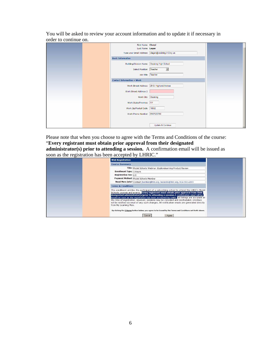You will be asked to review your account information and to update it if necessary in order to continue on.

|  | First Name Cheryl                 |                                                     |  |
|--|-----------------------------------|-----------------------------------------------------|--|
|  | Last Name Lagan                   |                                                     |  |
|  |                                   | Type your Email Address   clagan@ossining.k12.ny.us |  |
|  | <b>Basic Information</b>          |                                                     |  |
|  | <b>Building/Division Name</b>     | Ossining High School                                |  |
|  | Select Position   Teacher         |                                                     |  |
|  | Job Title   Teacher               |                                                     |  |
|  | <b>Contact Information = Work</b> |                                                     |  |
|  | Work Street Address               | 29 S. Highland Avenue                               |  |
|  | Work Street Address 2             |                                                     |  |
|  | Work City Ossining                |                                                     |  |
|  | Work State/Province NY            |                                                     |  |
|  | Work Zip/Postal Code   10562      |                                                     |  |
|  | Work Phone Number                 | 9147625760                                          |  |
|  |                                   |                                                     |  |
|  |                                   | Update & Continue                                   |  |

Please note that when you choose to agree with the Terms and Conditions of the course: "**Every registrant must obtain prior approval from their designated administrator(s) prior to attending a session.** A confirmation email will be issued as soon as the registration has been accepted by LHRIC."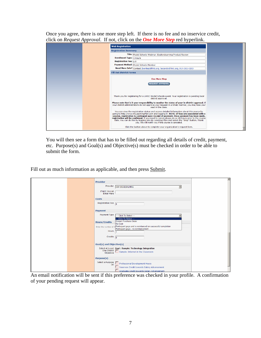Once you agree, there is one more step left. If there is no fee and no inservice credit, click on *Request Approval*. If not, click on the *One More Step* red hyperlink.



You will then see a form that has to be filled out regarding all details of credit, payment, etc. Purpose(s) and Goal(s) and Objective(s) must be checked in order to be able to submit the form.

Fill out as much information as applicable, and then press Submit.

|  |                                                                                                                                             | ᅬ |
|--|---------------------------------------------------------------------------------------------------------------------------------------------|---|
|  | <b>Provider</b>                                                                                                                             |   |
|  | Provider<br>SW BOCES/LHRIC<br>$\overline{ }$                                                                                                |   |
|  | If NOT On List<br><b>Enter Here</b>                                                                                                         |   |
|  | <b>Costs</b>                                                                                                                                |   |
|  | Registration Fee $\boxed{0}$                                                                                                                |   |
|  | Payment                                                                                                                                     |   |
|  | Payment Type<br>--- Click To Select ---<br>-- Click To Select ---                                                                           |   |
|  | <b>District Purchase Order</b><br><b>Hours/Credits</b><br>No Cost                                                                           |   |
|  | Participant pays and is reimbursed on successful completion<br>Enter the number of <b>H</b><br>Participant pays - no reimbursement<br>Hours |   |
|  | Credits<br>$\overline{0}$                                                                                                                   |   |
|  | Goal(s) and Objective(s)                                                                                                                    |   |
|  | Select At Least Goal: Sample: Technology Integration<br>One District<br>Objective<br>Sample: Internet in the Classroom                      |   |
|  | Purpose(s)                                                                                                                                  |   |
|  | Select a Purpose [15] Professional Development Hours<br><b>Inservice Credit towards Salary Advancement</b>                                  |   |
|  | Graduate Credit towards Salary Advancement                                                                                                  |   |

An email notification will be sent if this preference was checked in your profile. A confirmation of your pending request will appear.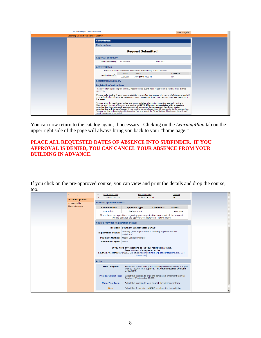| Plan » Manage » Learn » Evaluate<br>LearningPlan |                                            |                                                                                                                                                                                                             |                                                                                                                                                                                       |                                                                                                                                                                                                                                                                                                                  |  |  |
|--------------------------------------------------|--------------------------------------------|-------------------------------------------------------------------------------------------------------------------------------------------------------------------------------------------------------------|---------------------------------------------------------------------------------------------------------------------------------------------------------------------------------------|------------------------------------------------------------------------------------------------------------------------------------------------------------------------------------------------------------------------------------------------------------------------------------------------------------------|--|--|
|                                                  | <b>Ossining Union Free School District</b> |                                                                                                                                                                                                             |                                                                                                                                                                                       |                                                                                                                                                                                                                                                                                                                  |  |  |
|                                                  | <b>Confirmation</b>                        |                                                                                                                                                                                                             |                                                                                                                                                                                       |                                                                                                                                                                                                                                                                                                                  |  |  |
|                                                  | <b>Confirmation</b>                        |                                                                                                                                                                                                             |                                                                                                                                                                                       |                                                                                                                                                                                                                                                                                                                  |  |  |
|                                                  |                                            | <b>Request Submitted!</b>                                                                                                                                                                                   |                                                                                                                                                                                       |                                                                                                                                                                                                                                                                                                                  |  |  |
|                                                  | <b>Approval Summary</b>                    |                                                                                                                                                                                                             |                                                                                                                                                                                       |                                                                                                                                                                                                                                                                                                                  |  |  |
|                                                  | Final Approval(s) 1. MLP Admin             |                                                                                                                                                                                                             |                                                                                                                                                                                       | <b>PENDING</b>                                                                                                                                                                                                                                                                                                   |  |  |
|                                                  | <b>Activity Dates</b>                      |                                                                                                                                                                                                             |                                                                                                                                                                                       |                                                                                                                                                                                                                                                                                                                  |  |  |
|                                                  |                                            |                                                                                                                                                                                                             | Activity Title: Model Schools Webinar: Explorelearning Product Review                                                                                                                 |                                                                                                                                                                                                                                                                                                                  |  |  |
|                                                  | Meeting Date(s):                           | <b>Date</b><br>2/9/2009                                                                                                                                                                                     | <b>Times</b><br>3:00 pm to 4:00 pm                                                                                                                                                    | <b>Location</b><br><b>NA</b>                                                                                                                                                                                                                                                                                     |  |  |
|                                                  | <b>Registration Summary</b>                |                                                                                                                                                                                                             |                                                                                                                                                                                       |                                                                                                                                                                                                                                                                                                                  |  |  |
|                                                  |                                            | <b>Registration Instructions</b>                                                                                                                                                                            |                                                                                                                                                                                       |                                                                                                                                                                                                                                                                                                                  |  |  |
|                                                  | approval.                                  | Thank you for registering for a LHRIC Model Schools event. Your registration is pending local district                                                                                                      |                                                                                                                                                                                       |                                                                                                                                                                                                                                                                                                                  |  |  |
|                                                  | the class.                                 | Please note that is it your responsibility to monitor the status of your in-district approval. If<br>your district administrators do not approve your request in a timely manner, you may lose your seat in |                                                                                                                                                                                       |                                                                                                                                                                                                                                                                                                                  |  |  |
|                                                  | you if the course is canceled.             |                                                                                                                                                                                                             | You can view the registration status and access detailed information about this course by going to<br>registration is contingent upon receipt of payment. Once payment has been made, | http://www.MyLearningPlan.com and logging in. NOTE: If fees are associated with a session,<br>registration will be confirmed. If you need to cancel, please do so 48 hours prior to the course date.<br>You can do this by logging into My Learning Plan and select the "drop" button. Thank you. We will notify |  |  |

You can now return to the catalog again, if necessary. Clicking on the *LearningPlan* tab on the upper right side of the page will always bring you back to your "home page."

#### **PLACE ALL REQUESTED DATES OF ABSENCE INTO SUBFINDER. IF YOU APPROVAL IS DENIED, YOU CAN CANCEL YOUR ABSENCE FROM YOUR BUILDING IN ADVANCE.**

If you click on the pre-approved course, you can view and print the details and drop the course, too.

| Mentor Log<br><b>Account Options:</b> | <b>Start Date/Time</b><br>#<br>2/9/2009 3:00 pm<br>1.                                                                                           | <b>End Date/Time</b><br>2/9/2009 4:00 pm                                                                                                       |  | Location<br><b>NA</b> |  | E |  |  |  |
|---------------------------------------|-------------------------------------------------------------------------------------------------------------------------------------------------|------------------------------------------------------------------------------------------------------------------------------------------------|--|-----------------------|--|---|--|--|--|
| My User Profile                       | <b>Internal Approval Status:</b>                                                                                                                |                                                                                                                                                |  |                       |  |   |  |  |  |
| Change Password                       | <b>Administrator</b>                                                                                                                            | <b>Status</b>                                                                                                                                  |  |                       |  |   |  |  |  |
|                                       | <b>MLP Admin</b>                                                                                                                                | <b>Final Approval</b>                                                                                                                          |  | <b>PENDING</b>        |  |   |  |  |  |
|                                       | If you have any questions regarding your organization's approval of this request,<br>please contact the appropriate approver(s) listed above.   |                                                                                                                                                |  |                       |  |   |  |  |  |
|                                       |                                                                                                                                                 | <b>Course Provider Registration Status:</b>                                                                                                    |  |                       |  |   |  |  |  |
|                                       |                                                                                                                                                 | <b>Provider: Southern Westchester BOCES</b>                                                                                                    |  |                       |  |   |  |  |  |
|                                       | Pending (Your registration is pending approval by the<br><b>Registration Status:</b><br>registrars.)                                            |                                                                                                                                                |  |                       |  |   |  |  |  |
|                                       |                                                                                                                                                 | Payment Method: Model Schools Member                                                                                                           |  |                       |  |   |  |  |  |
|                                       | <b>Enrollment Type: Hours</b>                                                                                                                   |                                                                                                                                                |  |                       |  |   |  |  |  |
|                                       | If you have any questions about your registration status,<br>Southern Westchester BOCES via email (jbenitez@lhric.org, laccardo@lhric.org, 914- |                                                                                                                                                |  |                       |  |   |  |  |  |
|                                       | <b>Actions</b>                                                                                                                                  |                                                                                                                                                |  |                       |  |   |  |  |  |
|                                       | <b>Mark Complete</b>                                                                                                                            | Select this option after you have completed the activity and you<br>wish to request final approval. This option becomes available<br>2/9/2009. |  |                       |  |   |  |  |  |
|                                       | <b>Print Enrollment Form</b>                                                                                                                    | Select this function to print the completed enrollment form for<br>Southern Westchester BOCES.                                                 |  |                       |  |   |  |  |  |
|                                       | <b>View/Print Form</b>                                                                                                                          | Select this function to view or print the full request form.                                                                                   |  |                       |  |   |  |  |  |
|                                       | <b>Drop</b>                                                                                                                                     | Select this if you wish to DROP enrollment in this activity.                                                                                   |  |                       |  | ≖ |  |  |  |